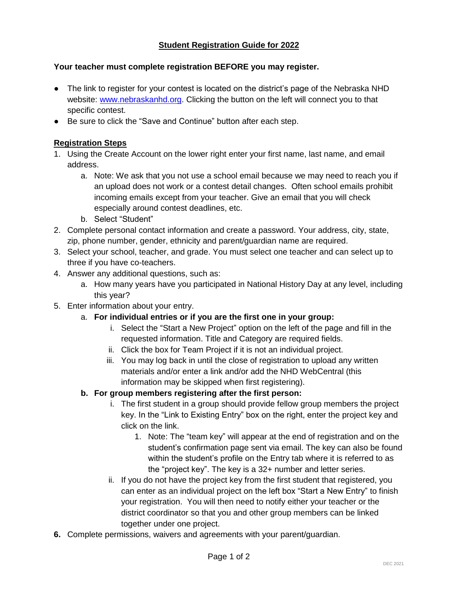# **Student Registration Guide for 2022**

#### **Your teacher must complete registration BEFORE you may register.**

- The link to register for your contest is located on the district's page of the Nebraska NHD website: [www.nebraskanhd.org.](http://www.nebraskanhd.org/) Clicking the button on the left will connect you to that specific contest.
- Be sure to click the "Save and Continue" button after each step.

#### **Registration Steps**

- 1. Using the Create Account on the lower right enter your first name, last name, and email address.
	- a. Note: We ask that you not use a school email because we may need to reach you if an upload does not work or a contest detail changes. Often school emails prohibit incoming emails except from your teacher. Give an email that you will check especially around contest deadlines, etc.
	- b. Select "Student"
- 2. Complete personal contact information and create a password. Your address, city, state, zip, phone number, gender, ethnicity and parent/guardian name are required.
- 3. Select your school, teacher, and grade. You must select one teacher and can select up to three if you have co-teachers.
- 4. Answer any additional questions, such as:
	- a. How many years have you participated in National History Day at any level, including this year?
- 5. Enter information about your entry.
	- a. **For individual entries or if you are the first one in your group:**
		- i. Select the "Start a New Project" option on the left of the page and fill in the requested information. Title and Category are required fields.
		- ii. Click the box for Team Project if it is not an individual project.
		- iii. You may log back in until the close of registration to upload any written materials and/or enter a link and/or add the NHD WebCentral (this information may be skipped when first registering).

## **b. For group members registering after the first person:**

- i. The first student in a group should provide fellow group members the project key. In the "Link to Existing Entry" box on the right, enter the project key and click on the link.
	- 1. Note: The "team key" will appear at the end of registration and on the student's confirmation page sent via email. The key can also be found within the student's profile on the Entry tab where it is referred to as the "project key". The key is a 32+ number and letter series.
- ii. If you do not have the project key from the first student that registered, you can enter as an individual project on the left box "Start a New Entry" to finish your registration. You will then need to notify either your teacher or the district coordinator so that you and other group members can be linked together under one project.
- **6.** Complete permissions, waivers and agreements with your parent/guardian.